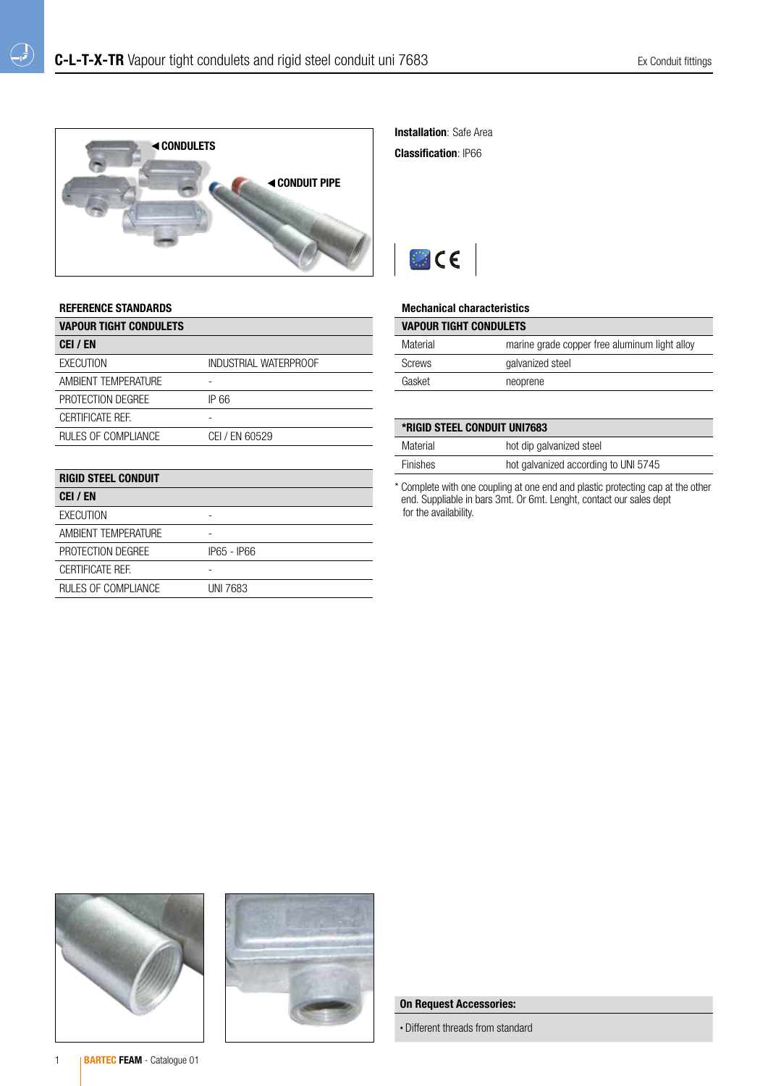

**Installation: Safe Area** 

Classification: IP66



### Mechanical characteristics

| <b>VAPOUR TIGHT CONDULETS</b> |                                               |
|-------------------------------|-----------------------------------------------|
| Material                      | marine grade copper free aluminum light alloy |
| Screws                        | galvanized steel                              |
| Gasket                        | neoprene                                      |
|                               |                                               |

| *RIGID STEEL CONDUIT UNI7683 |                                      |
|------------------------------|--------------------------------------|
| Material                     | hot dip galvanized steel             |
| <b>Finishes</b>              | hot galvanized according to UNI 5745 |

\* Complete with one coupling at one end and plastic protecting cap at the other end. Suppliable in bars 3mt. Or 6mt. Lenght, contact our sales dept for the availability.

### REFERENCE STANDARDS

 $\bigoplus$ 

| <b>VAPOUR TIGHT CONDULETS</b> |                       |
|-------------------------------|-----------------------|
| CEI / EN                      |                       |
| EXECUTION                     | INDUSTRIAL WATERPROOF |
| AMBIENT TEMPERATURE           |                       |
| PROTECTION DEGREE             | IP 66                 |
| CERTIFICATE REF.              |                       |
| RULES OF COMPLIANCE           | CEI / EN 60529        |
|                               |                       |
| DIAIN CTEEI<br>CONDUIT        |                       |

| <b>RIGID STEEL CONDUIT</b> |             |
|----------------------------|-------------|
| CEI / EN                   |             |
| <b>EXECUTION</b>           |             |
| AMBIENT TEMPERATURE        |             |
| PROTECTION DEGREE          | IP65 - IP66 |
| <b>CERTIFICATE REF.</b>    |             |
| RULES OF COMPLIANCE        | UNI 7683    |





# On Request Accessories:

• Different threads from standard

1 **BARTEC FEAM** - Catalogue 01